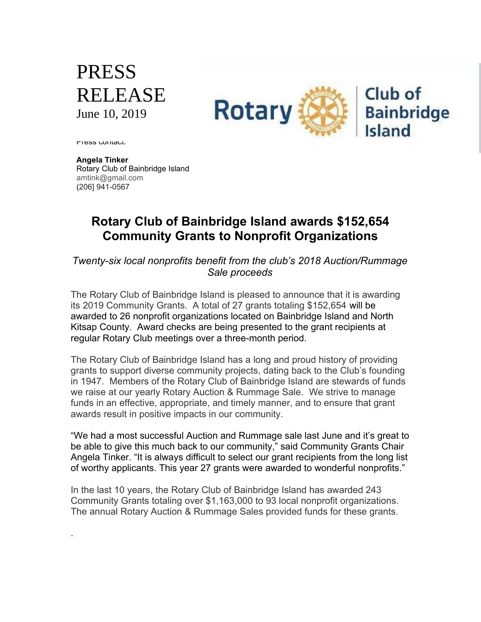## PRESS RELEASE June 10, 2019



Press contact.

.

**Angela Tinker** Rotary Club of Bainbridge Island amtink@gmail.com (206] 941-0567

## **Rotary Club of Bainbridge Island awards \$152,654 Community Grants to Nonprofit Organizations**

*Twenty-six local nonprofits benefit from the club's 2018 Auction/Rummage Sale proceeds*

The Rotary Club of Bainbridge Island is pleased to announce that it is awarding its 2019 Community Grants. A total of 27 grants totaling \$152,654 will be awarded to 26 nonprofit organizations located on Bainbridge Island and North Kitsap County. Award checks are being presented to the grant recipients at regular Rotary Club meetings over a three-month period.

The Rotary Club of Bainbridge Island has a long and proud history of providing grants to support diverse community projects, dating back to the Club's founding in 1947. Members of the Rotary Club of Bainbridge Island are stewards of funds we raise at our yearly Rotary Auction & Rummage Sale. We strive to manage funds in an effective, appropriate, and timely manner, and to ensure that grant awards result in positive impacts in our community.

"We had a most successful Auction and Rummage sale last June and it's great to be able to give this much back to our community," said Community Grants Chair Angela Tinker. "It is always difficult to select our grant recipients from the long list of worthy applicants. This year 27 grants were awarded to wonderful nonprofits."

In the last 10 years, the Rotary Club of Bainbridge Island has awarded 243 Community Grants totaling over \$1,163,000 to 93 local nonprofit organizations. The annual Rotary Auction & Rummage Sales provided funds for these grants.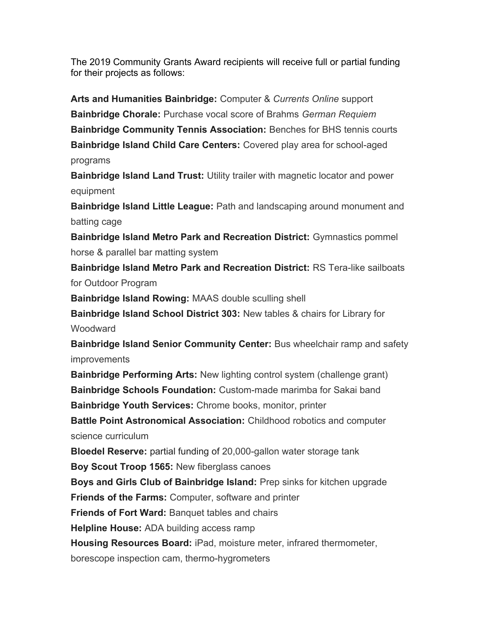The 2019 Community Grants Award recipients will receive full or partial funding for their projects as follows:

**Arts and Humanities Bainbridge:** Computer & *Currents Online* support **Bainbridge Chorale:** Purchase vocal score of Brahms *German Requiem* **Bainbridge Community Tennis Association:** Benches for BHS tennis courts **Bainbridge Island Child Care Centers:** Covered play area for school-aged programs

**Bainbridge Island Land Trust:** Utility trailer with magnetic locator and power equipment

**Bainbridge Island Little League:** Path and landscaping around monument and batting cage

**Bainbridge Island Metro Park and Recreation District:** Gymnastics pommel horse & parallel bar matting system

**Bainbridge Island Metro Park and Recreation District:** RS Tera-like sailboats for Outdoor Program

**Bainbridge Island Rowing:** MAAS double sculling shell

**Bainbridge Island School District 303:** New tables & chairs for Library for **Woodward** 

**Bainbridge Island Senior Community Center:** Bus wheelchair ramp and safety improvements

**Bainbridge Performing Arts:** New lighting control system (challenge grant) **Bainbridge Schools Foundation:** Custom-made marimba for Sakai band **Bainbridge Youth Services:** Chrome books, monitor, printer

**Battle Point Astronomical Association:** Childhood robotics and computer science curriculum

**Bloedel Reserve:** partial funding of 20,000-gallon water storage tank

**Boy Scout Troop 1565:** New fiberglass canoes

**Boys and Girls Club of Bainbridge Island:** Prep sinks for kitchen upgrade

**Friends of the Farms:** Computer, software and printer

**Friends of Fort Ward:** Banquet tables and chairs

**Helpline House:** ADA building access ramp

**Housing Resources Board:** iPad, moisture meter, infrared thermometer,

borescope inspection cam, thermo-hygrometers